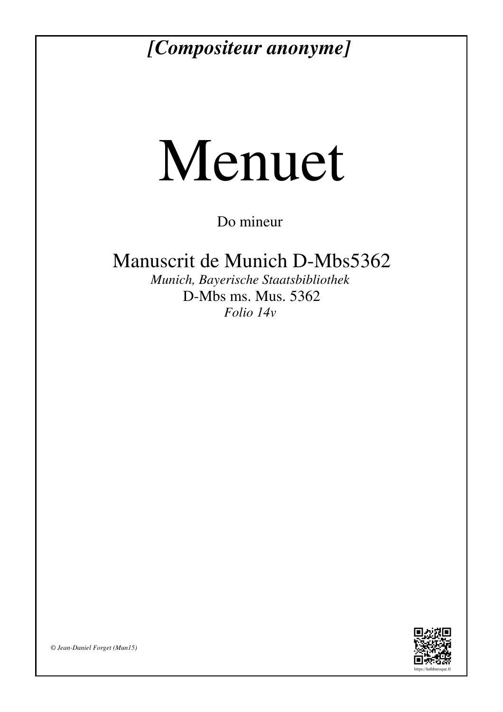## *[Compositeur anonyme]*

## Menuet

Do mineur

Manuscrit de Munich D-Mbs5362

*Munich, Bayerische Staatsbibliothek* D-Mbs ms. Mus. 5362 *Folio 14v*



*© Jean-Daniel Forget (Mun15)*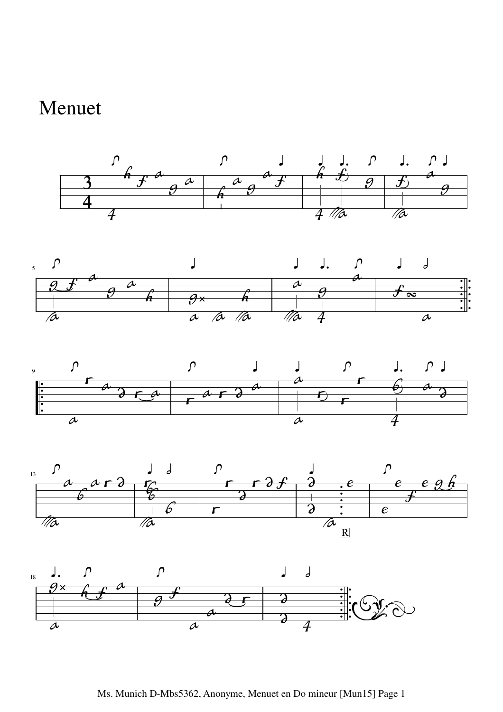## Menuet